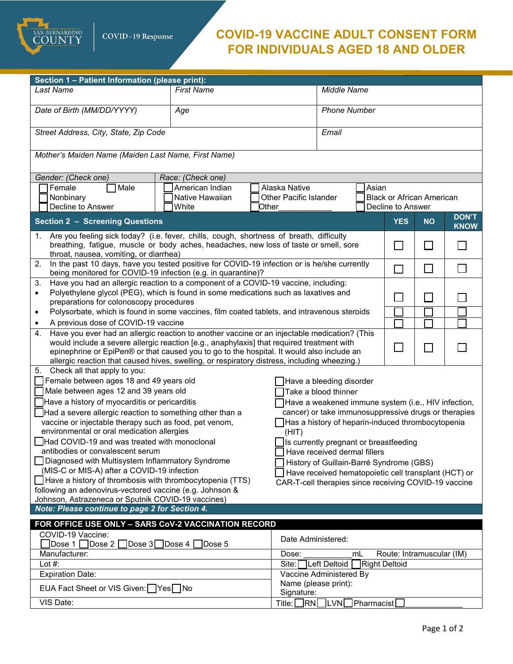SAN BERNARDINO

## **COVID-19 VACCINE ADULT CONSENT FORM FOR INDIVIDUALS AGED 18 AND OLDER**

| Section 1 - Patient Information (please print):                                                                                                                                                                                                                                                                                                                                        |                                                                                                                                                                                                                                 |                               |                                                       |  |                           |                             |                             |  |  |
|----------------------------------------------------------------------------------------------------------------------------------------------------------------------------------------------------------------------------------------------------------------------------------------------------------------------------------------------------------------------------------------|---------------------------------------------------------------------------------------------------------------------------------------------------------------------------------------------------------------------------------|-------------------------------|-------------------------------------------------------|--|---------------------------|-----------------------------|-----------------------------|--|--|
| <b>Last Name</b>                                                                                                                                                                                                                                                                                                                                                                       | <b>First Name</b>                                                                                                                                                                                                               |                               | Middle Name                                           |  |                           |                             |                             |  |  |
| Date of Birth (MM/DD/YYYY)                                                                                                                                                                                                                                                                                                                                                             | Age                                                                                                                                                                                                                             |                               | <b>Phone Number</b>                                   |  |                           |                             |                             |  |  |
| Street Address, City, State, Zip Code                                                                                                                                                                                                                                                                                                                                                  |                                                                                                                                                                                                                                 |                               | Email                                                 |  |                           |                             |                             |  |  |
| Mother's Maiden Name (Maiden Last Name, First Name)                                                                                                                                                                                                                                                                                                                                    |                                                                                                                                                                                                                                 |                               |                                                       |  |                           |                             |                             |  |  |
| Gender: (Check one)                                                                                                                                                                                                                                                                                                                                                                    | Race: (Check one)                                                                                                                                                                                                               |                               |                                                       |  |                           |                             |                             |  |  |
| Female<br>Male                                                                                                                                                                                                                                                                                                                                                                         | American Indian                                                                                                                                                                                                                 | Alaska Native                 | Asian                                                 |  |                           |                             |                             |  |  |
| Nonbinary                                                                                                                                                                                                                                                                                                                                                                              | Native Hawaiian                                                                                                                                                                                                                 | <b>Other Pacific Islander</b> | <b>Black or African American</b>                      |  |                           |                             |                             |  |  |
| Decline to Answer                                                                                                                                                                                                                                                                                                                                                                      | White                                                                                                                                                                                                                           | Other                         | Decline to Answer                                     |  |                           |                             |                             |  |  |
| <b>Section 2 - Screening Questions</b>                                                                                                                                                                                                                                                                                                                                                 |                                                                                                                                                                                                                                 |                               |                                                       |  | <b>YES</b>                | <b>NO</b>                   | <b>DON'T</b><br><b>KNOW</b> |  |  |
| Are you feeling sick today? (i.e. fever, chills, cough, shortness of breath, difficulty<br>1.<br>breathing, fatigue, muscle or body aches, headaches, new loss of taste or smell, sore<br>throat, nausea, vomiting, or diarrhea)                                                                                                                                                       |                                                                                                                                                                                                                                 |                               |                                                       |  | $\Box$                    | <b>I</b>                    |                             |  |  |
| 2.                                                                                                                                                                                                                                                                                                                                                                                     | In the past 10 days, have you tested positive for COVID-19 infection or is he/she currently<br>being monitored for COVID-19 infection (e.g. in quarantine)?                                                                     |                               |                                                       |  |                           | П                           | $\Box$                      |  |  |
| 3.                                                                                                                                                                                                                                                                                                                                                                                     |                                                                                                                                                                                                                                 |                               |                                                       |  |                           |                             |                             |  |  |
| Have you had an allergic reaction to a component of a COVID-19 vaccine, including:<br>Polyethylene glycol (PEG), which is found in some medications such as laxatives and<br>$\bullet$                                                                                                                                                                                                 |                                                                                                                                                                                                                                 |                               |                                                       |  |                           | $\mathcal{L}_{\mathcal{A}}$ |                             |  |  |
| preparations for colonoscopy procedures                                                                                                                                                                                                                                                                                                                                                |                                                                                                                                                                                                                                 |                               |                                                       |  |                           |                             |                             |  |  |
| Polysorbate, which is found in some vaccines, film coated tablets, and intravenous steroids<br>$\bullet$                                                                                                                                                                                                                                                                               |                                                                                                                                                                                                                                 |                               |                                                       |  |                           |                             |                             |  |  |
| A previous dose of COVID-19 vaccine<br>٠<br>4.                                                                                                                                                                                                                                                                                                                                         |                                                                                                                                                                                                                                 |                               |                                                       |  |                           |                             |                             |  |  |
| Have you ever had an allergic reaction to another vaccine or an injectable medication? (This<br>would include a severe allergic reaction [e.g., anaphylaxis] that required treatment with<br>epinephrine or EpiPen® or that caused you to go to the hospital. It would also include an<br>allergic reaction that caused hives, swelling, or respiratory distress, including wheezing.) |                                                                                                                                                                                                                                 |                               |                                                       |  | $\mathsf{L}$              |                             |                             |  |  |
| Check all that apply to you:<br>5.                                                                                                                                                                                                                                                                                                                                                     |                                                                                                                                                                                                                                 |                               |                                                       |  |                           |                             |                             |  |  |
| Female between ages 18 and 49 years old<br>Have a bleeding disorder<br>Male between ages 12 and 39 years old<br>Take a blood thinner                                                                                                                                                                                                                                                   |                                                                                                                                                                                                                                 |                               |                                                       |  |                           |                             |                             |  |  |
|                                                                                                                                                                                                                                                                                                                                                                                        |                                                                                                                                                                                                                                 |                               |                                                       |  |                           |                             |                             |  |  |
| Have a history of myocarditis or pericarditis<br>Have a weakened immune system (i.e., HIV infection,                                                                                                                                                                                                                                                                                   |                                                                                                                                                                                                                                 |                               |                                                       |  |                           |                             |                             |  |  |
|                                                                                                                                                                                                                                                                                                                                                                                        | cancer) or take immunosuppressive drugs or therapies<br>Had a severe allergic reaction to something other than a<br>vaccine or injectable therapy such as food, pet venom,<br>Has a history of heparin-induced thrombocytopenia |                               |                                                       |  |                           |                             |                             |  |  |
| environmental or oral medication allergies                                                                                                                                                                                                                                                                                                                                             |                                                                                                                                                                                                                                 |                               | (HIT)                                                 |  |                           |                             |                             |  |  |
| Had COVID-19 and was treated with monoclonal                                                                                                                                                                                                                                                                                                                                           |                                                                                                                                                                                                                                 |                               | Is currently pregnant or breastfeeding                |  |                           |                             |                             |  |  |
| antibodies or convalescent serum                                                                                                                                                                                                                                                                                                                                                       |                                                                                                                                                                                                                                 |                               | Have received dermal fillers                          |  |                           |                             |                             |  |  |
| Diagnosed with Multisystem Inflammatory Syndrome<br>History of Guillain-Barré Syndrome (GBS)                                                                                                                                                                                                                                                                                           |                                                                                                                                                                                                                                 |                               |                                                       |  |                           |                             |                             |  |  |
| (MIS-C or MIS-A) after a COVID-19 infection                                                                                                                                                                                                                                                                                                                                            |                                                                                                                                                                                                                                 |                               | Have received hematopoietic cell transplant (HCT) or  |  |                           |                             |                             |  |  |
| Have a history of thrombosis with thrombocytopenia (TTS)                                                                                                                                                                                                                                                                                                                               |                                                                                                                                                                                                                                 |                               | CAR-T-cell therapies since receiving COVID-19 vaccine |  |                           |                             |                             |  |  |
| following an adenovirus-vectored vaccine (e.g. Johnson &<br>Johnson, Astrazeneca or Sputnik COVID-19 vaccines)                                                                                                                                                                                                                                                                         |                                                                                                                                                                                                                                 |                               |                                                       |  |                           |                             |                             |  |  |
| Note: Please continue to page 2 for Section 4.                                                                                                                                                                                                                                                                                                                                         |                                                                                                                                                                                                                                 |                               |                                                       |  |                           |                             |                             |  |  |
| FOR OFFICE USE ONLY - SARS CoV-2 VACCINATION RECORD                                                                                                                                                                                                                                                                                                                                    |                                                                                                                                                                                                                                 |                               |                                                       |  |                           |                             |                             |  |  |
| COVID-19 Vaccine:                                                                                                                                                                                                                                                                                                                                                                      |                                                                                                                                                                                                                                 |                               |                                                       |  |                           |                             |                             |  |  |
| $\mathsf{Dose}\,3\Box\mathsf{Dose}\,4$<br>$\vert$ Dose 1<br>Dose 2                                                                                                                                                                                                                                                                                                                     | Dose 5                                                                                                                                                                                                                          | Date Administered:            |                                                       |  |                           |                             |                             |  |  |
| Manufacturer:                                                                                                                                                                                                                                                                                                                                                                          |                                                                                                                                                                                                                                 | Dose:                         | mL                                                    |  | Route: Intramuscular (IM) |                             |                             |  |  |
| Lot $#$ :                                                                                                                                                                                                                                                                                                                                                                              |                                                                                                                                                                                                                                 | Site:                         | Right Deltoid<br>Left Deltoid                         |  |                           |                             |                             |  |  |
| <b>Expiration Date:</b>                                                                                                                                                                                                                                                                                                                                                                |                                                                                                                                                                                                                                 |                               | Vaccine Administered By                               |  |                           |                             |                             |  |  |
| EUA Fact Sheet or VIS Given: Yes No                                                                                                                                                                                                                                                                                                                                                    |                                                                                                                                                                                                                                 |                               | Name (please print):<br>Signature:                    |  |                           |                             |                             |  |  |
| VIS Date:                                                                                                                                                                                                                                                                                                                                                                              |                                                                                                                                                                                                                                 | <b>RNI</b><br>Title: [        | LVN Pharmacist                                        |  |                           |                             |                             |  |  |